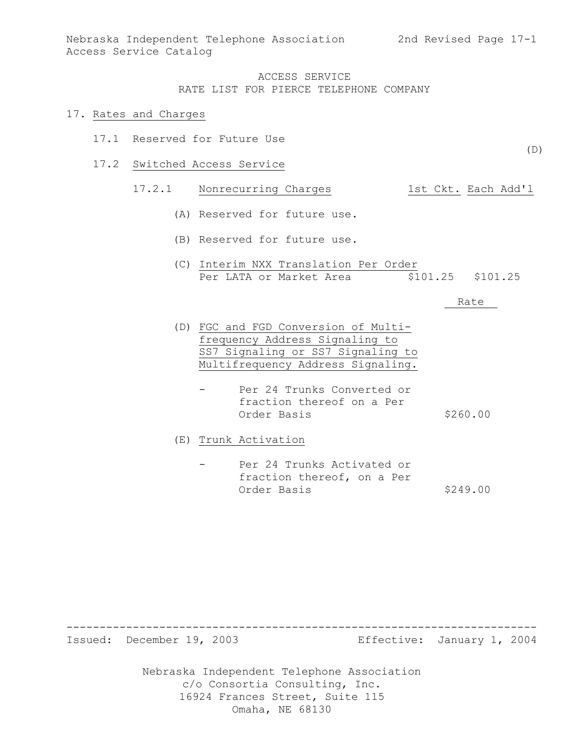#### 17. Rates and Charges

- 17.1 Reserved for Future Use
- 17.2 Switched Access Service

# 17.2.1 Nonrecurring Charges 1st Ckt. Each Add'l

- (A) Reserved for future use.
- (B) Reserved for future use.
- (C) Interim NXX Translation Per Order Per LATA or Market Area  $$101.25$  \$101.25

#### Rate

- (D) FGC and FGD Conversion of Multifrequency Address Signaling to SS7 Signaling or SS7 Signaling to Multifrequency Address Signaling.
	- Per 24 Trunks Converted or fraction thereof on a Per Order Basis \$260.00

(E) Trunk Activation

Per 24 Trunks Activated or fraction thereof, on a Per Order Basis \$249.00

Nebraska Independent Telephone Association c/o Consortia Consulting, Inc. 16924 Frances Street, Suite 115 ----------------------------------------------------------------------- Issued: December 19, 2003 Effective: January 1, 2004

Omaha, NE 68130

(D)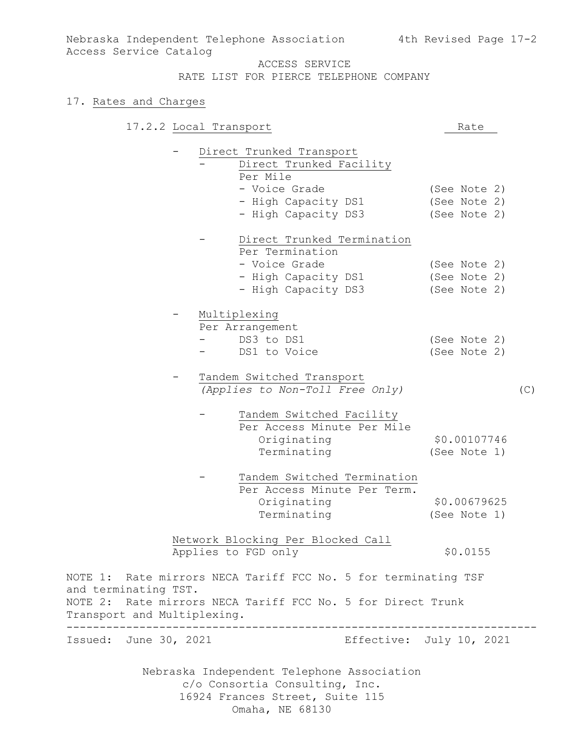Nebraska Independent Telephone Association 4th Revised Page 17-2 Access Service Catalog

ACCESS SERVICE

RATE LIST FOR PIERCE TELEPHONE COMPANY

### 17. Rates and Charges

|                                        | 17.2.2 Local Transport |                                                                              | Rate |                          |     |
|----------------------------------------|------------------------|------------------------------------------------------------------------------|------|--------------------------|-----|
|                                        |                        | Direct Trunked Transport<br>Direct Trunked Facility<br>Per Mile              |      |                          |     |
|                                        |                        | - Voice Grade                                                                |      | (See Note 2)             |     |
|                                        |                        | - High Capacity DS1                                                          |      | (See Note 2)             |     |
|                                        |                        | - High Capacity DS3                                                          |      | (See Note 2)             |     |
|                                        |                        | Direct Trunked Termination                                                   |      |                          |     |
|                                        |                        | Per Termination                                                              |      |                          |     |
|                                        |                        | - Voice Grade                                                                |      | (See Note 2)             |     |
|                                        |                        | - High Capacity DS1                                                          |      | (See Note 2)             |     |
|                                        |                        | - High Capacity DS3                                                          |      | (See Note 2)             |     |
|                                        |                        | Multiplexing                                                                 |      |                          |     |
|                                        |                        | Per Arrangement                                                              |      |                          |     |
|                                        |                        | DS3 to DS1                                                                   |      | (See Note 2)             |     |
|                                        |                        | DS1 to Voice                                                                 |      | (See Note 2)             |     |
|                                        |                        | Tandem Switched Transport                                                    |      |                          |     |
|                                        |                        | (Applies to Non-Toll Free Only)                                              |      |                          | (C) |
|                                        |                        | Tandem Switched Facility                                                     |      |                          |     |
|                                        |                        | Per Access Minute Per Mile                                                   |      |                          |     |
|                                        |                        | Originating                                                                  |      | \$0.00107746             |     |
|                                        |                        | Terminating                                                                  |      | (See Note 1)             |     |
|                                        |                        | Tandem Switched Termination                                                  |      |                          |     |
|                                        |                        | Per Access Minute Per Term.                                                  |      |                          |     |
|                                        |                        | Originating                                                                  |      | \$0.00679625             |     |
|                                        |                        | Terminating                                                                  |      | (See Note 1)             |     |
|                                        |                        | Network Blocking Per Blocked Call                                            |      |                          |     |
|                                        |                        | Applies to FGD only                                                          |      | \$0.0155                 |     |
| and terminating TST.                   |                        | NOTE 1: Rate mirrors NECA Tariff FCC No. 5 for terminating TSF               |      |                          |     |
| NOTE 2:<br>Transport and Multiplexing. |                        | Rate mirrors NECA Tariff FCC No. 5 for Direct Trunk                          |      |                          |     |
| Issued: June 30, 2021                  |                        |                                                                              |      | Effective: July 10, 2021 |     |
|                                        |                        |                                                                              |      |                          |     |
|                                        |                        | Nebraska Independent Telephone Association<br>c/o Consortia Consulting, Inc. |      |                          |     |
|                                        |                        |                                                                              |      |                          |     |

16924 Frances Street, Suite 115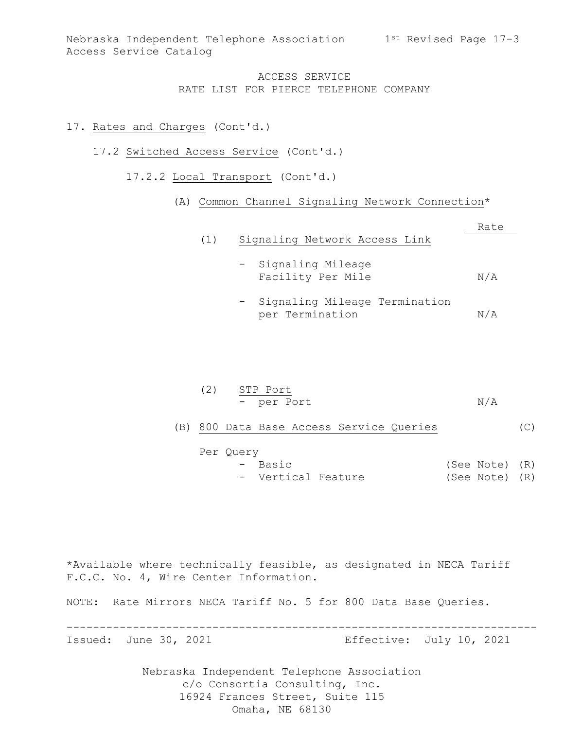### 17. Rates and Charges (Cont'd.)

- 17.2 Switched Access Service (Cont'd.)
	- 17.2.2 Local Transport (Cont'd.)
		- (A) Common Channel Signaling Network Connection\*

|     |                                                                                                                                                 | Rate |
|-----|-------------------------------------------------------------------------------------------------------------------------------------------------|------|
| (1) | Signaling Network Access Link                                                                                                                   |      |
|     | - Signaling Mileage<br>Facility Per Mile                                                                                                        | N/A  |
|     | $\alpha$ , and $\alpha$ , and $\alpha$ , and $\alpha$ , and $\alpha$ , and $\alpha$ , and $\alpha$ , and $\alpha$ , and $\alpha$ , and $\alpha$ |      |

- Signaling Mileage Termination per Termination N/A

| (2) STP Port |     |
|--------------|-----|
| - per Port   | N/A |

(B) 800 Data Base Access Service Queries (C)

| Per Query |                    |  |                |  |
|-----------|--------------------|--|----------------|--|
|           | - Basic            |  | (See Note) (R) |  |
|           | - Vertical Feature |  | (See Note) (R) |  |

\*Available where technically feasible, as designated in NECA Tariff F.C.C. No. 4, Wire Center Information.

NOTE: Rate Mirrors NECA Tariff No. 5 for 800 Data Base Queries.

-----------------------------------------------------------------------

Issued: June 30, 2021 Effective: July 10, 2021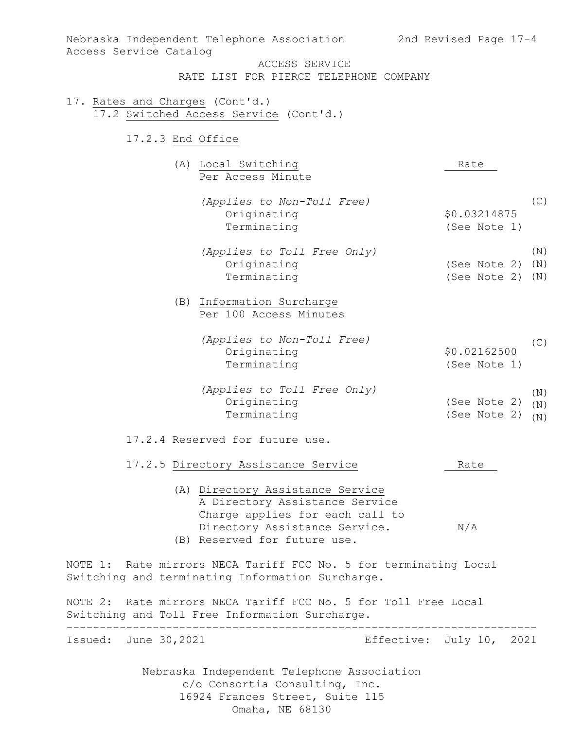| Nebraska Independent Telephone Association<br>Access Service Catalog                                                                                                                                          | 2nd Revised Page 17-4                             |
|---------------------------------------------------------------------------------------------------------------------------------------------------------------------------------------------------------------|---------------------------------------------------|
| ACCESS SERVICE<br>RATE LIST FOR PIERCE TELEPHONE COMPANY                                                                                                                                                      |                                                   |
| 17. Rates and Charges (Cont'd.)<br>17.2 Switched Access Service (Cont'd.)                                                                                                                                     |                                                   |
| 17.2.3 End Office                                                                                                                                                                                             |                                                   |
| (A) Local Switching<br>Per Access Minute                                                                                                                                                                      | Rate                                              |
| (Applies to Non-Toll Free)<br>Originating<br>Terminating                                                                                                                                                      | (C)<br>\$0.03214875<br>(See Note 1)               |
| (Applies to Toll Free Only)<br>Originating<br>Terminating                                                                                                                                                     | (N)<br>(See Note 2)<br>(N)<br>(See Note 2)<br>(N) |
| (B) Information Surcharge<br>Per 100 Access Minutes                                                                                                                                                           |                                                   |
| (Applies to Non-Toll Free)<br>Originating<br>Terminating                                                                                                                                                      | (C)<br>\$0.02162500<br>(See Note 1)               |
| (Applies to Toll Free Only)<br>Originating<br>Terminating                                                                                                                                                     | (N)<br>(See Note 2)<br>(N)<br>(See Note 2)<br>(N) |
| 17.2.4 Reserved for future use.                                                                                                                                                                               |                                                   |
| 17.2.5 Directory Assistance Service<br>(A) Directory Assistance Service<br>A Directory Assistance Service<br>Charge applies for each call to<br>Directory Assistance Service.<br>(B) Reserved for future use. | Rate<br>N/A                                       |
| NOTE 1: Rate mirrors NECA Tariff FCC No. 5 for terminating Local<br>Switching and terminating Information Surcharge.                                                                                          |                                                   |
| NOTE 2: Rate mirrors NECA Tariff FCC No. 5 for Toll Free Local<br>Switching and Toll Free Information Surcharge.                                                                                              |                                                   |
| Issued: June 30, 2021                                                                                                                                                                                         | Effective: July 10, 2021                          |
| Nebraska Independent Telephone Association<br>c/o Consortia Consulting, Inc.<br>16924 Frances Street, Suite 115<br>Omaha, NE 68130                                                                            |                                                   |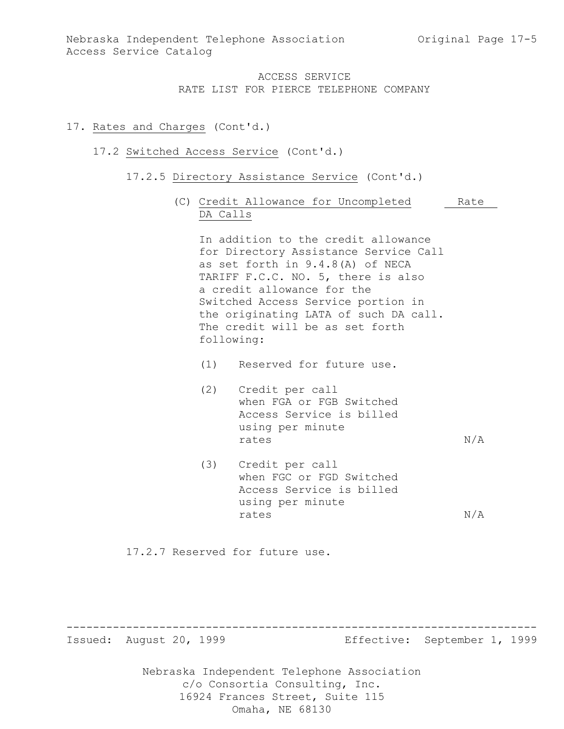## 17. Rates and Charges (Cont'd.)

### 17.2 Switched Access Service (Cont'd.)

- 17.2.5 Directory Assistance Service (Cont'd.)
	- (C) Credit Allowance for Uncompleted Rate DA Calls

In addition to the credit allowance for Directory Assistance Service Call as set forth in 9.4.8(A) of NECA TARIFF F.C.C. NO. 5, there is also a credit allowance for the Switched Access Service portion in the originating LATA of such DA call. The credit will be as set forth following:

- (1) Reserved for future use.
- (2) Credit per call when FGA or FGB Switched Access Service is billed using per minute rates  $N/A$
- (3) Credit per call when FGC or FGD Switched Access Service is billed using per minute rates  $N/A$

17.2.7 Reserved for future use.

Nebraska Independent Telephone Association c/o Consortia Consulting, Inc. ----------------------------------------------------------------------- Issued: August 20, 1999 Effective: September 1, 1999

16924 Frances Street, Suite 115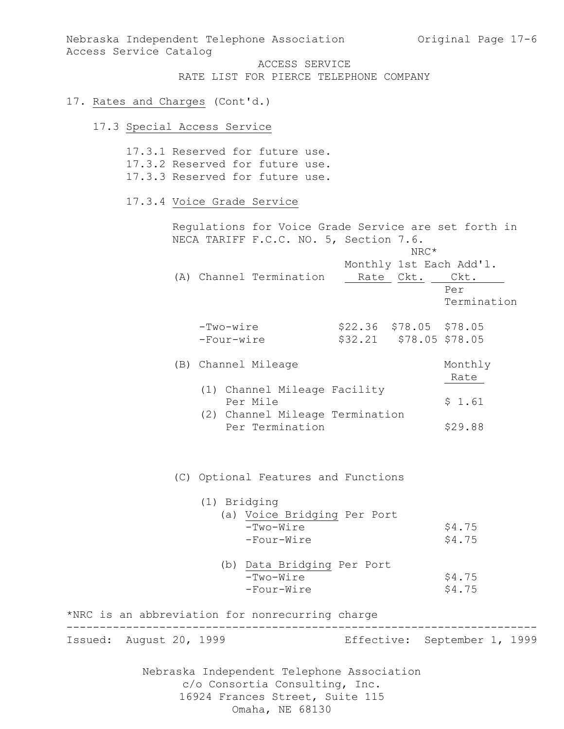Nebraska Independent Telephone Association and Original Page 17-6 Access Service Catalog

ACCESS SERVICE RATE LIST FOR PIERCE TELEPHONE COMPANY

### 17. Rates and Charges (Cont'd.)

# 17.3 Special Access Service

|                                                 |                            | 17.3.1 Reserved for future use.<br>17.3.2 Reserved for future use.<br>17.3.3 Reserved for future use. |                                                    |                                                      |
|-------------------------------------------------|----------------------------|-------------------------------------------------------------------------------------------------------|----------------------------------------------------|------------------------------------------------------|
|                                                 | 17.3.4 Voice Grade Service |                                                                                                       |                                                    |                                                      |
|                                                 |                            | NECA TARIFF F.C.C. NO. 5, Section 7.6.                                                                | $NRC*$                                             | Regulations for Voice Grade Service are set forth in |
|                                                 |                            | (A) Channel Termination                                                                               | Rate Ckt.                                          | Monthly 1st Each Add'l.<br>Ckt.<br>Per               |
|                                                 |                            |                                                                                                       |                                                    | Termination                                          |
|                                                 | $-Two-wire$<br>-Four-wire  |                                                                                                       | \$22.36 \$78.05 \$78.05<br>\$32.21 \$78.05 \$78.05 |                                                      |
|                                                 | (B) Channel Mileage        |                                                                                                       |                                                    | Monthly<br>Rate                                      |
|                                                 |                            | (1) Channel Mileage Facility<br>Per Mile                                                              |                                                    | \$1.61                                               |
|                                                 |                            | (2) Channel Mileage Termination<br>Per Termination                                                    |                                                    | \$29.88                                              |
|                                                 |                            | (C) Optional Features and Functions                                                                   |                                                    |                                                      |
|                                                 | (1) Bridging               |                                                                                                       |                                                    |                                                      |
|                                                 |                            | (a) Voice Bridging Per Port<br>$-Two-Wire$<br>-Four-Wire                                              |                                                    | \$4.75<br>\$4.75                                     |
|                                                 |                            | (b) Data Bridging Per Port<br>$-Two-Wire$<br>-Four-Wire                                               |                                                    | \$4.75<br>\$4.75                                     |
| *NRC is an abbreviation for nonrecurring charge |                            |                                                                                                       |                                                    |                                                      |
| Issued: August 20, 1999                         |                            |                                                                                                       |                                                    | Effective: September 1, 1999                         |
|                                                 |                            | Nebraska Independent Telephone Association<br>c/o Consortia Consulting, Inc.                          |                                                    |                                                      |

16924 Frances Street, Suite 115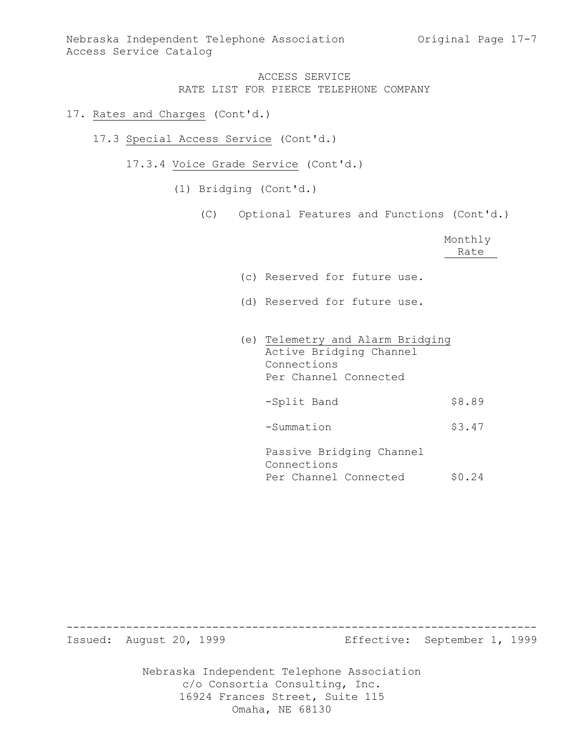### 17. Rates and Charges (Cont'd.)

- 17.3 Special Access Service (Cont'd.)
	- 17.3.4 Voice Grade Service (Cont'd.)
		- (1) Bridging (Cont'd.)
			- (C) Optional Features and Functions (Cont'd.)

|                                                                                                     | Monthly<br>Rate |
|-----------------------------------------------------------------------------------------------------|-----------------|
| (c) Reserved for future use.                                                                        |                 |
| (d) Reserved for future use.                                                                        |                 |
| (e) Telemetry and Alarm Bridging<br>Active Bridging Channel<br>Connections<br>Per Channel Connected |                 |
| -Split Band                                                                                         | \$8.89          |
| -Summation                                                                                          | \$3.47          |

Passive Bridging Channel Connections Per Channel Connected \$0.24

Nebraska Independent Telephone Association c/o Consortia Consulting, Inc. 16924 Frances Street, Suite 115 ----------------------------------------------------------------------- Issued: August 20, 1999 Effective: September 1, 1999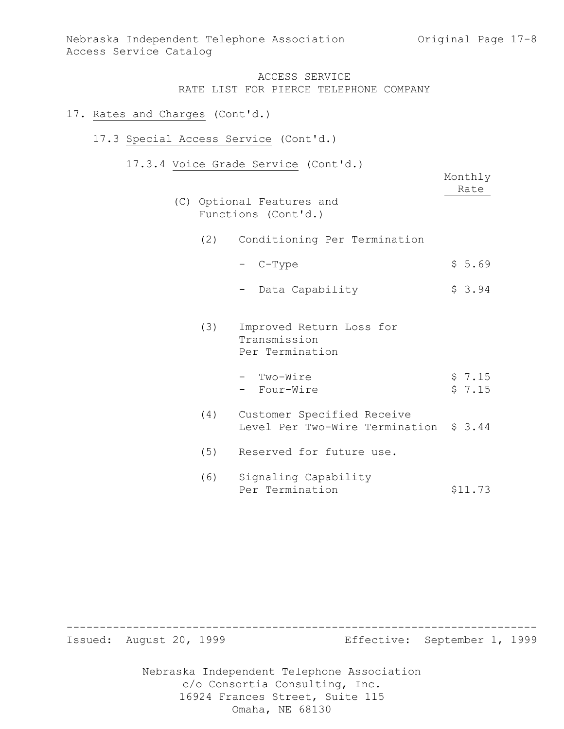Nebraska Independent Telephone Association (Original Page 17-8) Access Service Catalog

### ACCESS SERVICE RATE LIST FOR PIERCE TELEPHONE COMPANY

### 17. Rates and Charges (Cont'd.)

#### 17.3 Special Access Service (Cont'd.)

17.3.4 Voice Grade Service (Cont'd.)

|     | $C = C$<br>$\sqrt{2211}$ $\alpha$ ,                                  |                  |
|-----|----------------------------------------------------------------------|------------------|
|     |                                                                      | Monthly<br>Rate  |
|     | (C) Optional Features and<br>Functions (Cont'd.)                     |                  |
| (2) | Conditioning Per Termination                                         |                  |
|     | - C-Type                                                             | \$5.69           |
|     | Data Capability                                                      | \$3.94           |
| (3) | Improved Return Loss for<br>Transmission<br>Per Termination          |                  |
|     | - Two-Wire<br>- Four-Wire                                            | \$7.15<br>\$7.15 |
| (4) | Customer Specified Receive<br>Level Per Two-Wire Termination \$ 3.44 |                  |
| (5) | Reserved for future use.                                             |                  |
| (6) | Signaling Capability<br>Per Termination                              | \$11.73          |

Nebraska Independent Telephone Association c/o Consortia Consulting, Inc. 16924 Frances Street, Suite 115 Omaha, NE 68130 ----------------------------------------------------------------------- Issued: August 20, 1999 Effective: September 1, 1999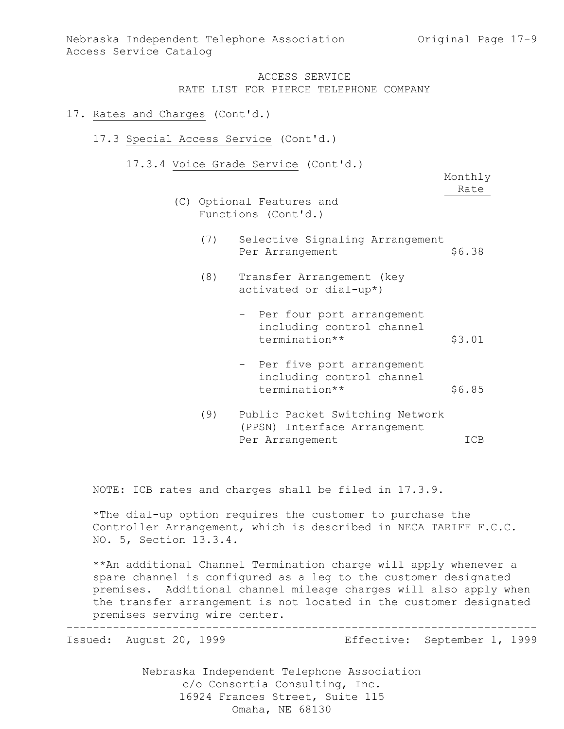### 17. Rates and Charges (Cont'd.)

- 17.3 Special Access Service (Cont'd.)
	- 17.3.4 Voice Grade Service (Cont'd.)

Monthly Rate

- (C) Optional Features and Functions (Cont'd.)
	- (7) Selective Signaling Arrangement Per Arrangement \$6.38
	- (8) Transfer Arrangement (key activated or dial-up\*)
		- Per four port arrangement including control channel termination\*\* \$3.01
		- Per five port arrangement including control channel termination\*\* \$6.85
	- (9) Public Packet Switching Network (PPSN) Interface Arrangement Per Arrangement ICB

NOTE: ICB rates and charges shall be filed in 17.3.9.

\*The dial-up option requires the customer to purchase the Controller Arrangement, which is described in NECA TARIFF F.C.C. NO. 5, Section 13.3.4.

\*\*An additional Channel Termination charge will apply whenever a spare channel is configured as a leg to the customer designated premises. Additional channel mileage charges will also apply when the transfer arrangement is not located in the customer designated premises serving wire center.

-----------------------------------------------------------------------

Issued: August 20, 1999 Effective: September 1, 1999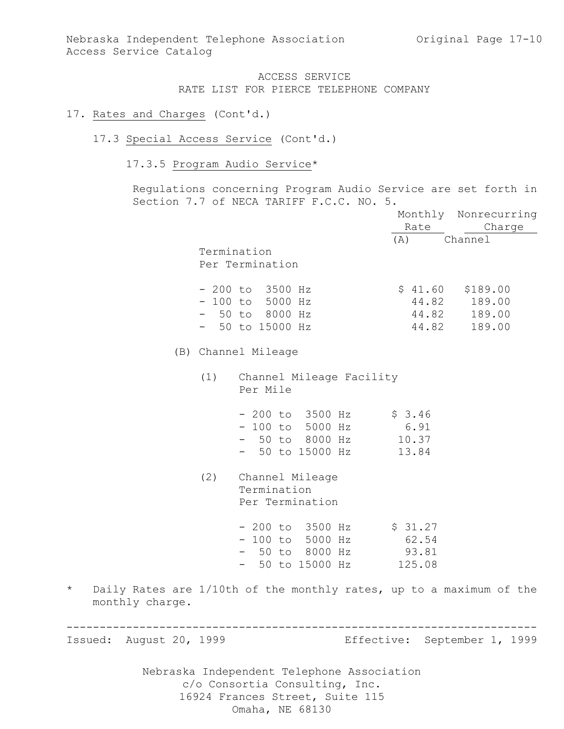### 17. Rates and Charges (Cont'd.)

#### 17.3 Special Access Service (Cont'd.)

# 17.3.5 Program Audio Service\*

Regulations concerning Program Audio Service are set forth in Section 7.7 of NECA TARIFF F.C.C. NO. 5.

|                            |     |                                                                                   | Rate                                | Monthly Nonrecurring<br>Charge         |
|----------------------------|-----|-----------------------------------------------------------------------------------|-------------------------------------|----------------------------------------|
|                            |     | Termination<br>Per Termination                                                    | (A)                                 | Channel                                |
|                            |     | $-200$ to 3500 Hz<br>$-100$ to 5000 Hz<br>$-50$ to 8000 Hz<br>$-50$ to 15000 Hz   | \$41.60<br>44.82<br>44.82<br>44.82  | \$189.00<br>189.00<br>189.00<br>189.00 |
|                            |     | (B) Channel Mileage                                                               |                                     |                                        |
|                            | (1) | Channel Mileage Facility<br>Per Mile                                              |                                     |                                        |
|                            |     | $-200$ to $3500$ Hz<br>$-100$ to 5000 Hz<br>- 50 to 8000 Hz<br>$-$ 50 to 15000 Hz | \$3.46<br>6.91<br>10.37<br>13.84    |                                        |
|                            | (2) | Channel Mileage<br>Termination<br>Per Termination                                 |                                     |                                        |
|                            |     | - 200 to 3500 Hz<br>$-100$ to 5000 Hz<br>- 50 to 8000 Hz<br>- 50 to 15000 Hz      | \$31.27<br>62.54<br>93.81<br>125.08 |                                        |
| $\star$<br>monthly charge. |     | Daily Rates are 1/10th of the monthly rates, up to a maximum of the               |                                     |                                        |
| Issued: August 20, 1999    |     |                                                                                   |                                     | Effective: September 1, 1999           |
|                            |     | Nebraska Independent Telephone Association<br>c/o Consortia Consulting, Inc.      |                                     |                                        |

16924 Frances Street, Suite 115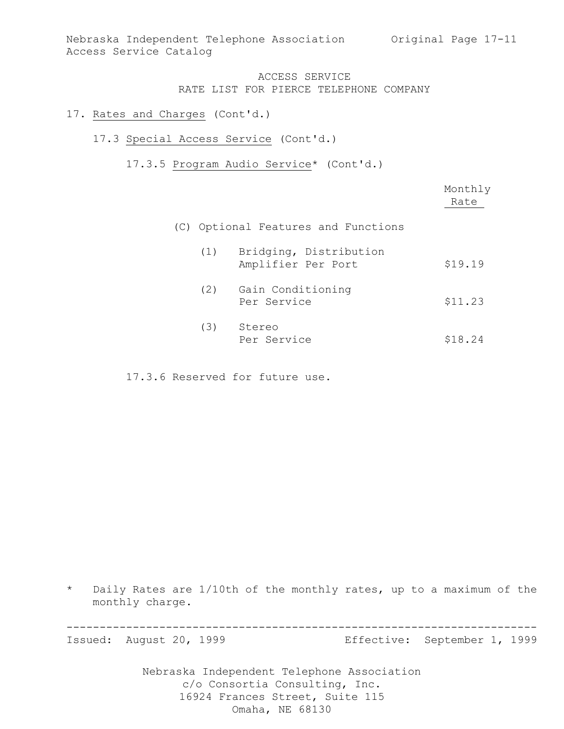### 17. Rates and Charges (Cont'd.)

### 17.3 Special Access Service (Cont'd.)

17.3.5 Program Audio Service\* (Cont'd.)

|     |                                              | Monthly<br>Rate |
|-----|----------------------------------------------|-----------------|
|     | (C) Optional Features and Functions          |                 |
| (1) | Bridging, Distribution<br>Amplifier Per Port | \$19.19         |
| (2) | Gain Conditioning<br>Per Service             | \$11.23         |
| (3) | Stereo<br>Per Service                        | \$18.24         |

17.3.6 Reserved for future use.

\* Daily Rates are 1/10th of the monthly rates, up to a maximum of the monthly charge.

-----------------------------------------------------------------------

Issued: August 20, 1999 Effective: September 1, 1999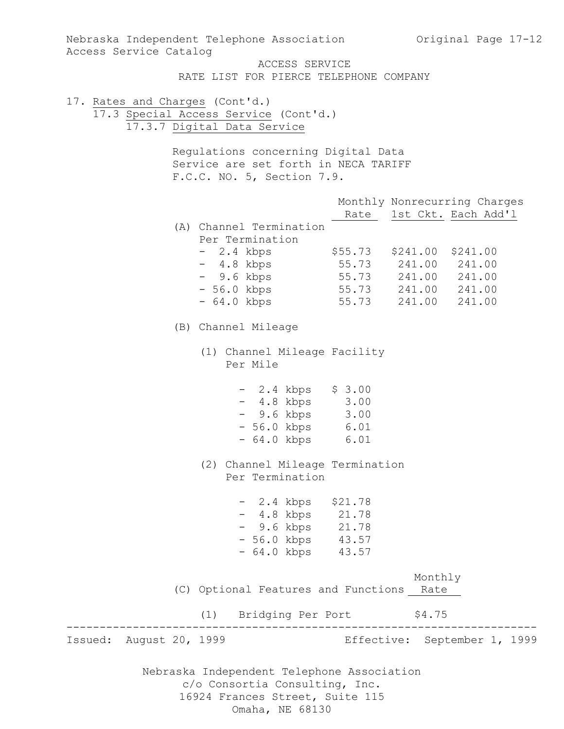| Nebraska Independent Telephone Association 6 0riginal Page 17-12<br>Access Service Catalog |                                                                                                                                                                                   |       |                                                                                   |        |
|--------------------------------------------------------------------------------------------|-----------------------------------------------------------------------------------------------------------------------------------------------------------------------------------|-------|-----------------------------------------------------------------------------------|--------|
|                                                                                            | ACCESS SERVICE<br>RATE LIST FOR PIERCE TELEPHONE COMPANY                                                                                                                          |       |                                                                                   |        |
| 17. Rates and Charges (Cont'd.)                                                            | 17.3 Special Access Service (Cont'd.)<br>17.3.7 Digital Data Service<br>Regulations concerning Digital Data<br>Service are set forth in NECA TARIFF<br>F.C.C. NO. 5, Section 7.9. |       |                                                                                   |        |
|                                                                                            |                                                                                                                                                                                   |       | Monthly Nonrecurring Charges<br>Rate 1st Ckt. Each Add'l                          |        |
|                                                                                            | (A) Channel Termination<br>Per Termination<br>- 2.4 kbps<br>$-4.8$ kbps<br>- 9.6 kbps 55.73 241.00 241.00<br>- 56.0 kbps<br>- 64.0 kbps                                           | 55.73 | \$55.73 \$241.00 \$241.00<br>55.73 241.00 241.00<br>55.73 241.00 241.00<br>241.00 | 241.00 |
|                                                                                            | (B) Channel Mileage                                                                                                                                                               |       |                                                                                   |        |
|                                                                                            | (1) Channel Mileage Facility<br>Per Mile                                                                                                                                          |       |                                                                                   |        |
|                                                                                            | $-2.4$ kbps $$3.00$<br>$-4.8 \text{ kbps}$ 3.00<br>- 9.6 kbps 3.00<br>- 56.0 kbps 6.01<br>$-64.0$ kbps                                                                            | 6.01  |                                                                                   |        |
|                                                                                            | (2) Channel Mileage Termination<br>Per Termination                                                                                                                                |       |                                                                                   |        |
|                                                                                            | $-2.4$ kbps \$21.78<br>$-4.8$ kbps $21.78$<br>- 9.6 kbps 21.78<br>- 56.0 kbps 43.57<br>- 64.0 kbps 43.57                                                                          |       |                                                                                   |        |
|                                                                                            | (C) Optional Features and Functions Rate                                                                                                                                          |       | Monthly                                                                           |        |
|                                                                                            | (1) Bridging Per Port \$4.75                                                                                                                                                      |       |                                                                                   |        |
| Issued: August 20, 1999                                                                    |                                                                                                                                                                                   |       | Effective: September 1, 1999                                                      |        |
|                                                                                            | Nebraska Independent Telephone Association<br>c/o Consortia Consulting, Inc.<br>16924 Frances Street, Suite 115                                                                   |       |                                                                                   |        |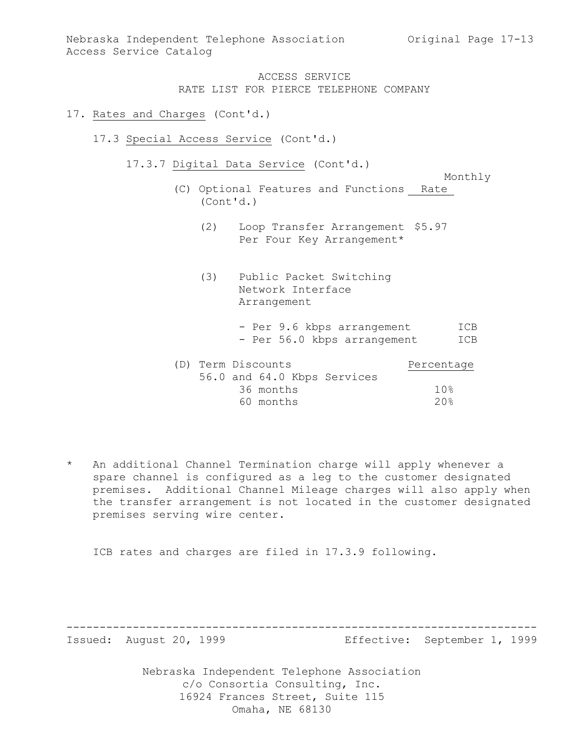Nebraska Independent Telephone Association (Original Page 17-13) Access Service Catalog

# ACCESS SERVICE RATE LIST FOR PIERCE TELEPHONE COMPANY

#### 17. Rates and Charges (Cont'd.)

- 17.3 Special Access Service (Cont'd.)
	- 17.3.7 Digital Data Service (Cont'd.)

Monthly

- (C) Optional Features and Functions Rate (Cont'd.)
	- (2) Loop Transfer Arrangement \$5.97 Per Four Key Arrangement\*
	- (3) Public Packet Switching Network Interface Arrangement
		- Per 9.6 kbps arrangement ICB - Per 56.0 kbps arrangement ICB

| (D) Term Discounts |           |                             | Percentage |
|--------------------|-----------|-----------------------------|------------|
|                    |           | 56.0 and 64.0 Kbps Services |            |
|                    | 36 months |                             | 10%        |
|                    | 60 months |                             | 20%        |

\* An additional Channel Termination charge will apply whenever a spare channel is configured as a leg to the customer designated premises. Additional Channel Mileage charges will also apply when the transfer arrangement is not located in the customer designated premises serving wire center.

ICB rates and charges are filed in 17.3.9 following.

-----------------------------------------------------------------------

Issued: August 20, 1999 Effective: September 1, 1999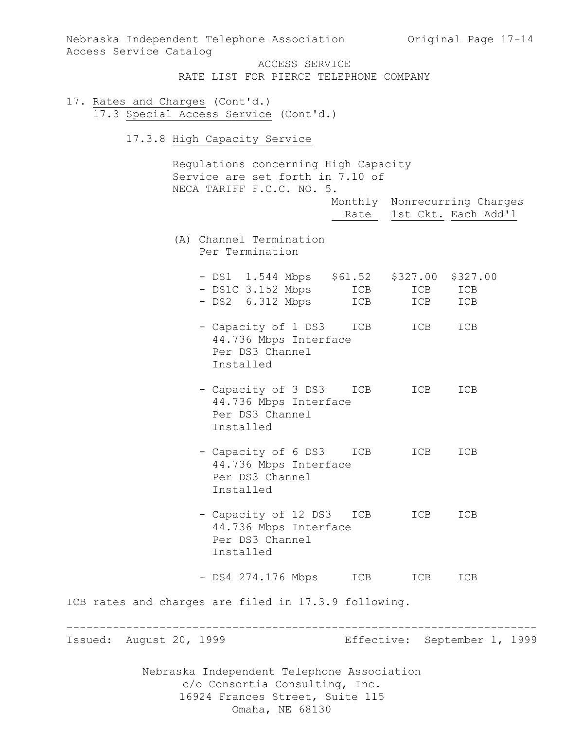| Nebraska Independent Telephone Association Original Page 17-14<br>Access Service Catalog                        |            |                                                          |            |  |
|-----------------------------------------------------------------------------------------------------------------|------------|----------------------------------------------------------|------------|--|
| ACCESS SERVICE<br>RATE LIST FOR PIERCE TELEPHONE COMPANY                                                        |            |                                                          |            |  |
| 17. Rates and Charges (Cont'd.)<br>17.3 Special Access Service (Cont'd.)                                        |            |                                                          |            |  |
| 17.3.8 High Capacity Service                                                                                    |            |                                                          |            |  |
| Regulations concerning High Capacity<br>Service are set forth in 7.10 of<br>NECA TARIFF F.C.C. NO. 5.           |            | Monthly Nonrecurring Charges<br>Rate 1st Ckt. Each Add'l |            |  |
| (A) Channel Termination<br>Per Termination                                                                      |            |                                                          |            |  |
| - DS1 1.544 Mbps \$61.52 \$327.00 \$327.00<br>- DS1C 3.152 Mbps<br>- DS2 6.312 Mbps                             | ICB<br>ICB | ICB<br>ICB                                               | ICB<br>ICB |  |
| - Capacity of 1 DS3<br>44.736 Mbps Interface<br>Per DS3 Channel<br>Installed                                    | ICB        | ICB                                                      | ICB        |  |
| - Capacity of 3 DS3<br>44.736 Mbps Interface<br>Per DS3 Channel<br>Installed                                    | ICB        | ICB                                                      | ICB        |  |
| - Capacity of 6 DS3 ICB<br>44.736 Mbps Interface<br>Per DS3 Channel<br>Installed                                |            | ICB                                                      | ICB        |  |
| - Capacity of 12 DS3 ICB ICB<br>44.736 Mbps Interface<br>Per DS3 Channel<br>Installed                           |            |                                                          | ICB        |  |
| - DS4 274.176 Mbps ICB                                                                                          |            | ICB                                                      | ICB        |  |
| ICB rates and charges are filed in 17.3.9 following.                                                            |            |                                                          |            |  |
| Issued: August 20, 1999                                                                                         |            | Effective: September 1, 1999                             |            |  |
| Nebraska Independent Telephone Association<br>c/o Consortia Consulting, Inc.<br>16924 Frances Street, Suite 115 |            |                                                          |            |  |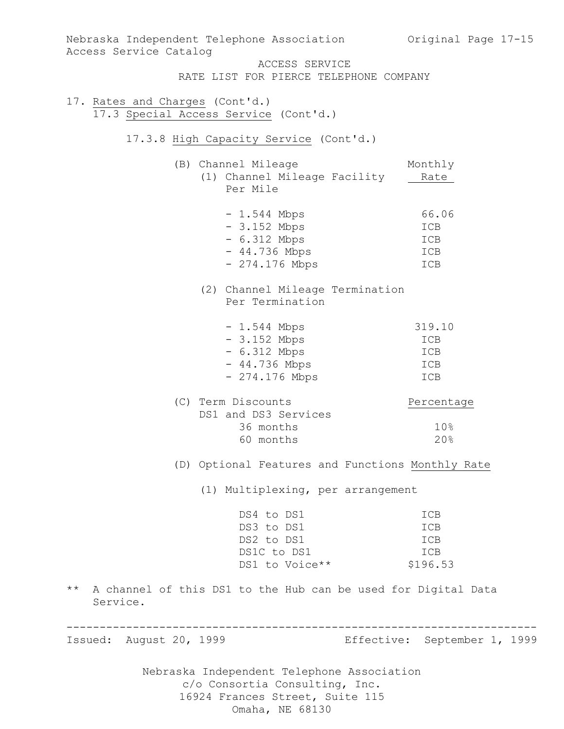| Nebraska Independent Telephone Association (Original Page 17-15<br>Access Service Catalog                          |                                      |
|--------------------------------------------------------------------------------------------------------------------|--------------------------------------|
| ACCESS SERVICE<br>RATE LIST FOR PIERCE TELEPHONE COMPANY                                                           |                                      |
| 17. Rates and Charges (Cont'd.)<br>17.3 Special Access Service (Cont'd.)<br>17.3.8 High Capacity Service (Cont'd.) |                                      |
|                                                                                                                    |                                      |
| (B) Channel Mileage<br>(1) Channel Mileage Facility<br>Per Mile                                                    | Monthly<br>Rate                      |
| $-1.544$ Mbps<br>$-3.152$ Mbps<br>$-6.312$ Mbps<br>$-44.736$ Mbps<br>$-274.176$ Mbps                               | 66.06<br>ICB<br>ICB<br>ICB<br>ICB    |
| (2) Channel Mileage Termination<br>Per Termination                                                                 |                                      |
| $-1.544$ Mbps<br>$-3.152$ Mbps<br>$-6.312$ Mbps<br>- 44.736 Mbps<br>- 274.176 Mbps                                 | 319.10<br>ICB<br>ICB<br>ICB<br>ICB   |
| (C) Term Discounts<br>DS1 and DS3 Services<br>36 months<br>60 months                                               | Percentage<br>10%<br>20%             |
| (D) Optional Features and Functions Monthly Rate                                                                   |                                      |
| (1) Multiplexing, per arrangement                                                                                  |                                      |
| DS4 to DS1<br>DS3 to DS1<br>DS2 to DS1<br>DS1C to DS1<br>DS1 to Voice**                                            | ICB<br>ICB<br>ICB<br>ICB<br>\$196.53 |
| A channel of this DS1 to the Hub can be used for Digital Data<br>$\star\star$<br>Service.                          |                                      |
| Issued: August 20, 1999                                                                                            | Effective: September 1, 1999         |
| Nebraska Independent Telephone Association<br>c/o Consortia Consulting, Inc.<br>16924 Frances Street, Suite 115    |                                      |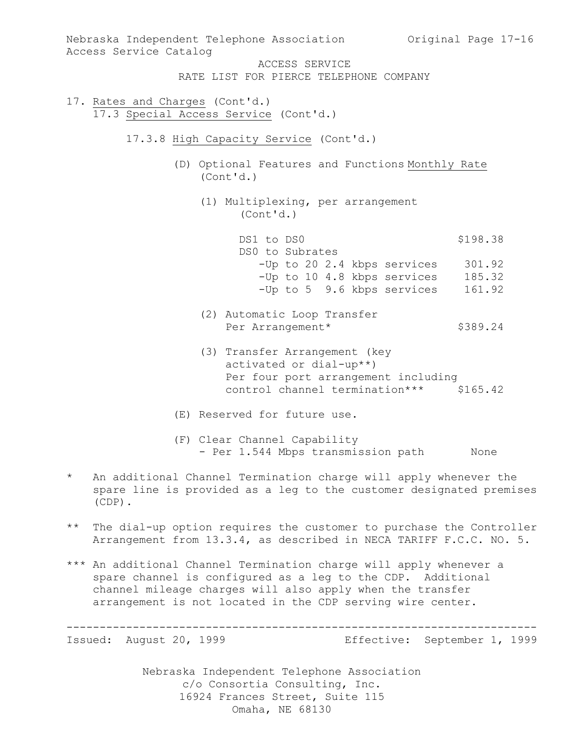| Nebraska Independent Telephone Association Original Page 17-16<br>Access Service Catalog                                                   |          |
|--------------------------------------------------------------------------------------------------------------------------------------------|----------|
| ACCESS SERVICE                                                                                                                             |          |
|                                                                                                                                            |          |
| RATE LIST FOR PIERCE TELEPHONE COMPANY                                                                                                     |          |
| 17. Rates and Charges (Cont'd.)<br>17.3 Special Access Service (Cont'd.)                                                                   |          |
| 17.3.8 High Capacity Service (Cont'd.)                                                                                                     |          |
| (D) Optional Features and Functions Monthly Rate<br>(Cont 'd.)                                                                             |          |
| (1) Multiplexing, per arrangement<br>(Cont 'd.)                                                                                            |          |
| DS1 to DS0<br>DS0 to Subrates                                                                                                              | \$198.38 |
| -Up to 20 2.4 kbps services                                                                                                                | 301.92   |
| -Up to 10 4.8 kbps services                                                                                                                | 185.32   |
| -Up to 5 9.6 kbps services                                                                                                                 | 161.92   |
|                                                                                                                                            |          |
| (2) Automatic Loop Transfer                                                                                                                |          |
| Per Arrangement*                                                                                                                           | \$389.24 |
|                                                                                                                                            |          |
| (3) Transfer Arrangement (key<br>activated or dial-up**)<br>Per four port arrangement including<br>control channel termination*** \$165.42 |          |
| (E) Reserved for future use.                                                                                                               |          |
| (F) Clear Channel Capability<br>- Per 1.544 Mbps transmission path                                                                         | None     |
|                                                                                                                                            |          |

- An additional Channel Termination charge will apply whenever the spare line is provided as a leg to the customer designated premises (CDP).
- \*\* The dial-up option requires the customer to purchase the Controller Arrangement from 13.3.4, as described in NECA TARIFF F.C.C. NO. 5.
- \*\*\* An additional Channel Termination charge will apply whenever a spare channel is configured as a leg to the CDP. Additional channel mileage charges will also apply when the transfer arrangement is not located in the CDP serving wire center.

----------------------------------------------------------------------- Issued: August 20, 1999 Effective: September 1, 1999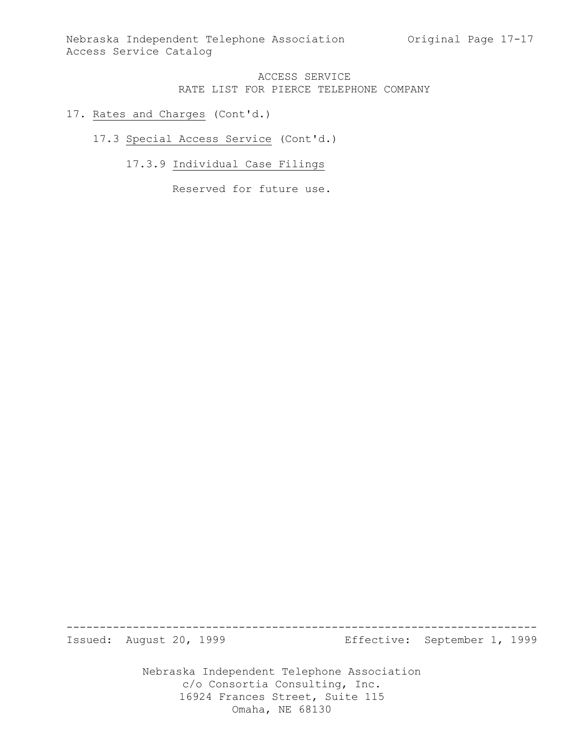Nebraska Independent Telephone Association (Original Page 17-17 Access Service Catalog

## ACCESS SERVICE RATE LIST FOR PIERCE TELEPHONE COMPANY

### 17. Rates and Charges (Cont'd.)

### 17.3 Special Access Service (Cont'd.)

# 17.3.9 Individual Case Filings

Reserved for future use.

Issued: August 20, 1999 Effective: September 1, 1999

Nebraska Independent Telephone Association c/o Consortia Consulting, Inc. 16924 Frances Street, Suite 115 Omaha, NE 68130

-----------------------------------------------------------------------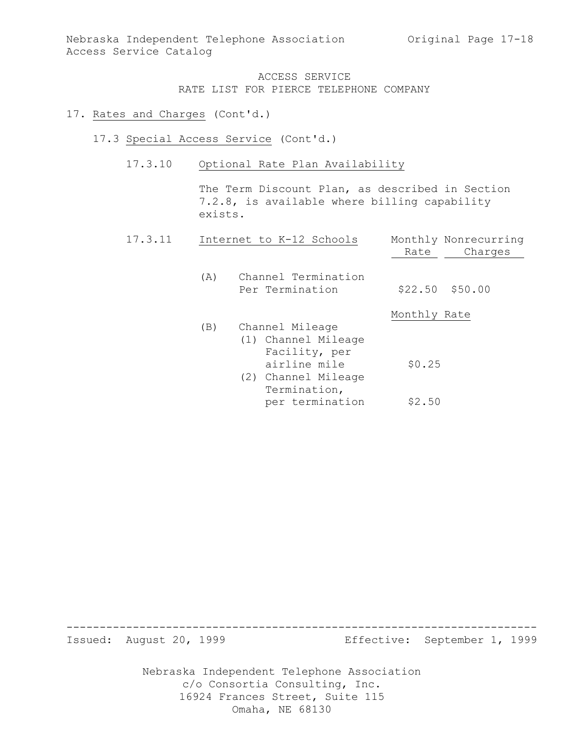Nebraska Independent Telephone Association Original Page 17-18 Access Service Catalog

> ACCESS SERVICE RATE LIST FOR PIERCE TELEPHONE COMPANY

#### 17. Rates and Charges (Cont'd.)

- 17.3 Special Access Service (Cont'd.)
	- 17.3.10 Optional Rate Plan Availability

The Term Discount Plan, as described in Section 7.2.8, is available where billing capability exists.

| 17.3.11 |     | Internet to K-12 Schools                                                                                       | Monthly Nonrecurring<br>Charges<br>Rate |  |
|---------|-----|----------------------------------------------------------------------------------------------------------------|-----------------------------------------|--|
|         | (A) | Channel Termination<br>Per Termination                                                                         | $$22.50$ $$50.00$                       |  |
|         |     |                                                                                                                | Monthly Rate                            |  |
|         | (B) | Channel Mileage<br>(1) Channel Mileage<br>Facility, per<br>airline mile<br>(2) Channel Mileage<br>Termination, | \$0.25                                  |  |
|         |     | per termination                                                                                                | \$2.50                                  |  |

Issued: August 20, 1999 Effective: September 1, 1999

Nebraska Independent Telephone Association c/o Consortia Consulting, Inc. 16924 Frances Street, Suite 115 Omaha, NE 68130

-----------------------------------------------------------------------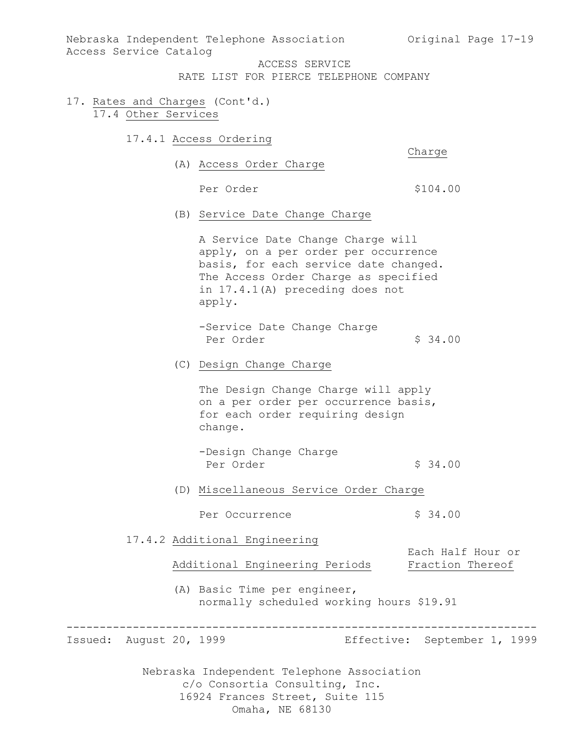Nebraska Independent Telephone Association Original Page 17-19 Access Service Catalog

ACCESS SERVICE

RATE LIST FOR PIERCE TELEPHONE COMPANY

- 17. Rates and Charges (Cont'd.) 17.4 Other Services
	- 17.4.1 Access Ordering

Charge

(A) Access Order Charge

Per Order  $$104.00$ 

(B) Service Date Change Charge

A Service Date Change Charge will apply, on a per order per occurrence basis, for each service date changed. The Access Order Charge as specified in 17.4.1(A) preceding does not apply.

- -Service Date Change Charge Per Order  $$34.00$
- (C) Design Change Charge

The Design Change Charge will apply on a per order per occurrence basis, for each order requiring design change.

- -Design Change Charge Per Order  $\frac{1}{2}$  34.00
- (D) Miscellaneous Service Order Charge
	- Per Occurrence  $\frac{1}{2}$  \$ 34.00
- 17.4.2 Additional Engineering

Additional Engineering Periods Fraction Thereof

(A) Basic Time per engineer, normally scheduled working hours \$19.91

-----------------------------------------------------------------------

Issued: August 20, 1999 Effective: September 1, 1999

Each Half Hour or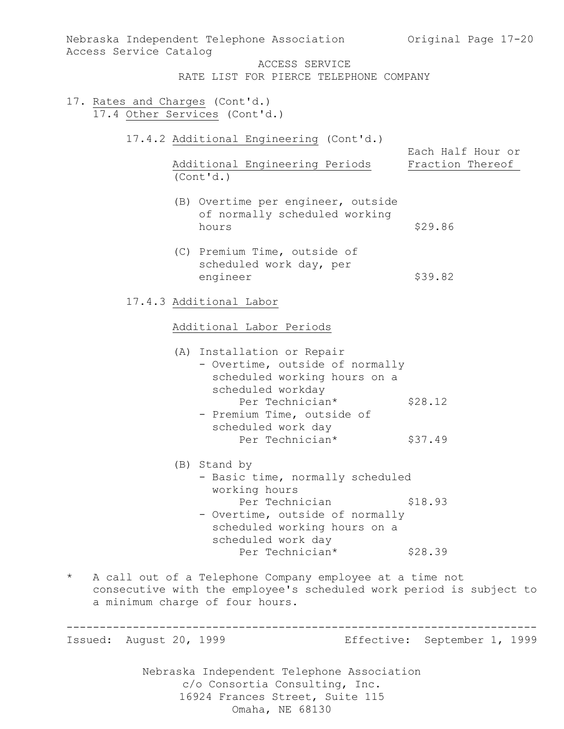| Nebraska Independent Telephone Association |                                 |                                                                                                                                 | Original Page 17-20          |
|--------------------------------------------|---------------------------------|---------------------------------------------------------------------------------------------------------------------------------|------------------------------|
| Access Service Catalog                     |                                 | ACCESS SERVICE                                                                                                                  |                              |
|                                            |                                 | RATE LIST FOR PIERCE TELEPHONE COMPANY                                                                                          |                              |
| 17. Rates and Charges (Cont'd.)            | 17.4 Other Services (Cont'd.)   |                                                                                                                                 |                              |
|                                            |                                 | 17.4.2 Additional Engineering (Cont'd.)                                                                                         | Each Half Hour or            |
|                                            | (Cont'd.)                       | Additional Engineering Periods                                                                                                  | Fraction Thereof             |
|                                            | hours                           | (B) Overtime per engineer, outside<br>of normally scheduled working                                                             | \$29.86                      |
|                                            | engineer                        | (C) Premium Time, outside of<br>scheduled work day, per                                                                         | \$39.82                      |
|                                            | 17.4.3 Additional Labor         |                                                                                                                                 |                              |
|                                            | Additional Labor Periods        |                                                                                                                                 |                              |
|                                            | (A) Installation or Repair      | - Overtime, outside of normally<br>scheduled working hours on a<br>scheduled workday                                            |                              |
|                                            |                                 | Per Technician*<br>- Premium Time, outside of<br>scheduled work day                                                             | \$28.12                      |
|                                            |                                 | Per Technician*                                                                                                                 | \$37.49                      |
|                                            | (B) Stand by<br>working hours   | - Basic time, normally scheduled                                                                                                |                              |
|                                            |                                 | Per Technician<br>- Overtime, outside of normally<br>scheduled working hours on a<br>scheduled work day                         | \$18.93                      |
|                                            |                                 | Per Technician*                                                                                                                 | \$28.39                      |
| $\star$                                    | a minimum charge of four hours. | A call out of a Telephone Company employee at a time not<br>consecutive with the employee's scheduled work period is subject to |                              |
| Issued: August 20, 1999                    |                                 |                                                                                                                                 | Effective: September 1, 1999 |
|                                            |                                 | Nebraska Independent Telephone Association<br>c/o Consortia Consulting, Inc.<br>16924 Frances Street, Suite 115                 |                              |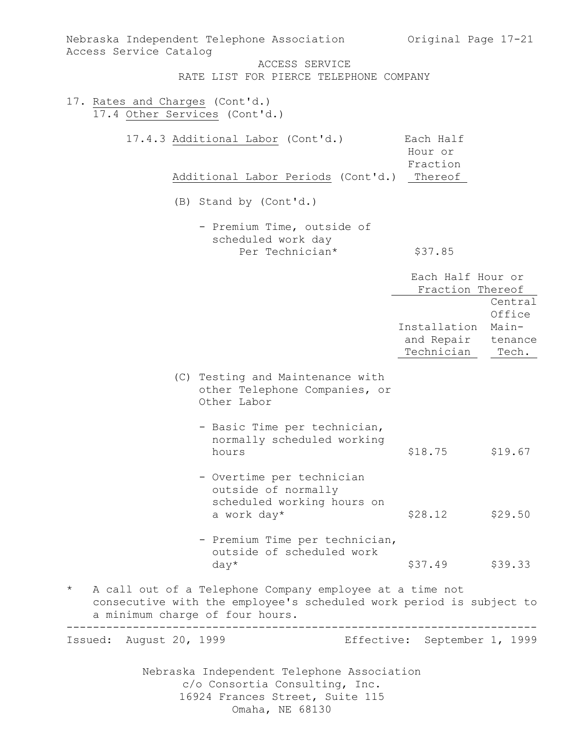| Nebraska Independent Telephone Association<br>Access Service Catalog                                                                                                                     | Original Page 17-21                   |                            |
|------------------------------------------------------------------------------------------------------------------------------------------------------------------------------------------|---------------------------------------|----------------------------|
| ACCESS SERVICE<br>RATE LIST FOR PIERCE TELEPHONE COMPANY                                                                                                                                 |                                       |                            |
| 17. Rates and Charges (Cont'd.)<br>17.4 Other Services (Cont'd.)                                                                                                                         |                                       |                            |
| 17.4.3 Additional Labor (Cont'd.)                                                                                                                                                        | Each Half<br>Hour or<br>Fraction      |                            |
| Additional Labor Periods (Cont'd.)                                                                                                                                                       | Thereof                               |                            |
| (B) Stand by (Cont'd.)                                                                                                                                                                   |                                       |                            |
| - Premium Time, outside of<br>scheduled work day                                                                                                                                         |                                       |                            |
| Per Technician*                                                                                                                                                                          | \$37.85                               |                            |
|                                                                                                                                                                                          | Each Half Hour or<br>Fraction Thereof |                            |
|                                                                                                                                                                                          | Installation                          | Central<br>Office<br>Main- |
|                                                                                                                                                                                          | and Repair<br>Technician              | tenance<br>Tech.           |
| (C) Testing and Maintenance with<br>other Telephone Companies, or<br>Other Labor                                                                                                         |                                       |                            |
| - Basic Time per technician,<br>normally scheduled working<br>hours                                                                                                                      | \$18.75                               | \$19.67                    |
| - Overtime per technician<br>outside of normally<br>scheduled working hours on<br>a work day*                                                                                            | \$28.12                               | \$29.50                    |
| - Premium Time per technician,<br>outside of scheduled work                                                                                                                              | \$37.49                               | \$39.33                    |
| $day*$<br>A call out of a Telephone Company employee at a time not<br>$^\star$<br>consecutive with the employee's scheduled work period is subject to<br>a minimum charge of four hours. |                                       |                            |
| Issued: August 20, 1999                                                                                                                                                                  | Effective: September 1, 1999          |                            |
| Nebraska Independent Telephone Association<br>c/o Consortia Consulting, Inc.<br>16924 Frances Street, Suite 115<br>Omaha, NE 68130                                                       |                                       |                            |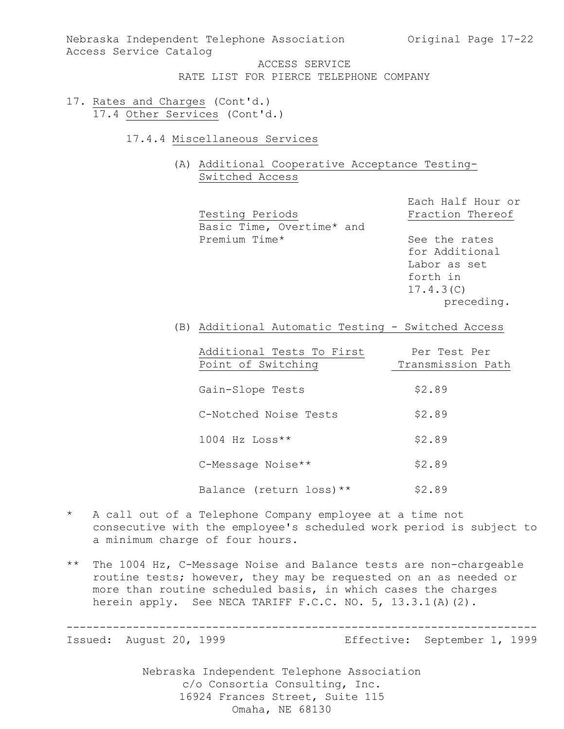Nebraska Independent Telephone Association (Original Page 17-22) Access Service Catalog

> ACCESS SERVICE RATE LIST FOR PIERCE TELEPHONE COMPANY

- 17. Rates and Charges (Cont'd.) 17.4 Other Services (Cont'd.)
	- 17.4.4 Miscellaneous Services
		- (A) Additional Cooperative Acceptance Testing-Switched Access

Each Half Hour or Testing Periods Fraction Thereof Basic Time, Overtime\* and Premium Time\* See the rates for Additional Labor as set forth in 17.4.3(C)

preceding.

(B) Additional Automatic Testing - Switched Access

| Additional Tests To First<br>Point of Switching | Per Test Per<br>Transmission Path |
|-------------------------------------------------|-----------------------------------|
| Gain-Slope Tests                                | \$2.89                            |
| C-Notched Noise Tests                           | \$2.89                            |
| $1004$ Hz Loss**                                | \$2.89                            |
| C-Message Noise**                               | \$2.89                            |
| Balance (return loss) **                        | \$2.89                            |

- \* A call out of a Telephone Company employee at a time not consecutive with the employee's scheduled work period is subject to a minimum charge of four hours.
- \*\* The 1004 Hz, C-Message Noise and Balance tests are non-chargeable routine tests; however, they may be requested on an as needed or more than routine scheduled basis, in which cases the charges herein apply. See NECA TARIFF F.C.C. NO. 5, 13.3.1(A)(2).

-----------------------------------------------------------------------

Issued: August 20, 1999 Effective: September 1, 1999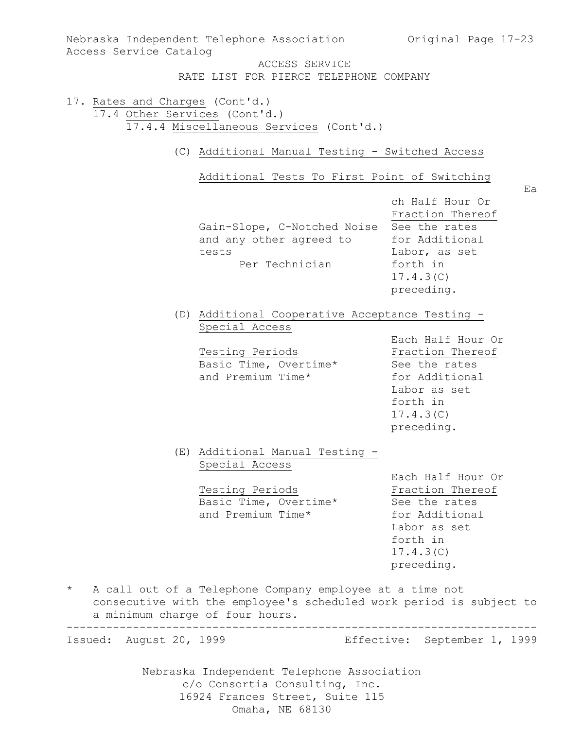| Access Service Catalog                                           | Nebraska Independent Telephone Association                                                                         | Original Page 17-23                                                                                                             |
|------------------------------------------------------------------|--------------------------------------------------------------------------------------------------------------------|---------------------------------------------------------------------------------------------------------------------------------|
|                                                                  | ACCESS SERVICE<br>RATE LIST FOR PIERCE TELEPHONE COMPANY                                                           |                                                                                                                                 |
| 17. Rates and Charges (Cont'd.)<br>17.4 Other Services (Cont'd.) | 17.4.4 Miscellaneous Services (Cont'd.)                                                                            |                                                                                                                                 |
|                                                                  | (C) Additional Manual Testing - Switched Access                                                                    |                                                                                                                                 |
|                                                                  | Additional Tests To First Point of Switching                                                                       | Ea                                                                                                                              |
|                                                                  | Gain-Slope, C-Notched Noise<br>and any other agreed to<br>tests<br>Per Technician                                  | ch Half Hour Or<br>Fraction Thereof<br>See the rates<br>for Additional<br>Labor, as set<br>forth in<br>17.4.3(C)<br>preceding.  |
|                                                                  | (D) Additional Cooperative Acceptance Testing -<br>Special Access                                                  |                                                                                                                                 |
|                                                                  | Testing Periods<br>Basic Time, Overtime*<br>and Premium Time*                                                      | Each Half Hour Or<br>Fraction Thereof<br>See the rates<br>for Additional<br>Labor as set<br>forth in<br>17.4.3(C)<br>preceding. |
|                                                                  | (E) Additional Manual Testing -<br>Special Access<br>Testing Periods<br>Basic Time, Overtime*<br>and Premium Time* | Each Half Hour Or<br>Fraction Thereof<br>See the rates<br>for Additional<br>Labor as set<br>forth in<br>17.4.3(C)<br>preceding. |
| $^\star$                                                         | A call out of a Telephone Company employee at a time not<br>a minimum charge of four hours.                        | consecutive with the employee's scheduled work period is subject to                                                             |
| Issued: August 20, 1999                                          |                                                                                                                    | Effective: September 1, 1999                                                                                                    |
|                                                                  | Nebraska Independent Telephone Association<br>c/o Consortia Consulting, Inc.                                       |                                                                                                                                 |

16924 Frances Street, Suite 115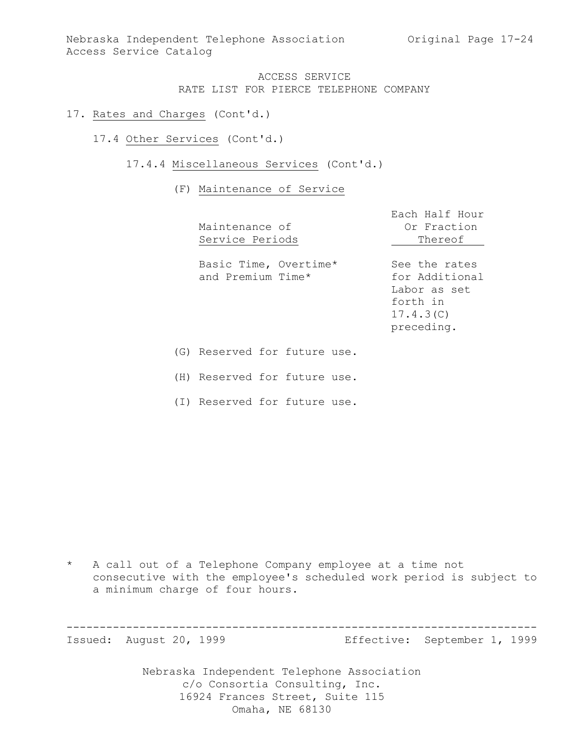Nebraska Independent Telephone Association (Original Page 17-24) Access Service Catalog

### ACCESS SERVICE RATE LIST FOR PIERCE TELEPHONE COMPANY

- 17. Rates and Charges (Cont'd.)
	- 17.4 Other Services (Cont'd.)
		- 17.4.4 Miscellaneous Services (Cont'd.)

#### (F) Maintenance of Service

| Maintenance of<br>Service Periods          | Each Half Hour<br>Or Fraction<br>Thereof                                               |
|--------------------------------------------|----------------------------------------------------------------------------------------|
| Basic Time, Overtime*<br>and Premium Time* | See the rates<br>for Additional<br>Labor as set<br>forth in<br>17.4.3(C)<br>preceding. |
| (G) Reserved for future use.               |                                                                                        |

(H) Reserved for future use.

(I) Reserved for future use.

\* A call out of a Telephone Company employee at a time not consecutive with the employee's scheduled work period is subject to a minimum charge of four hours.

----------------------------------------------------------------------- Issued: August 20, 1999 Effective: September 1, 1999